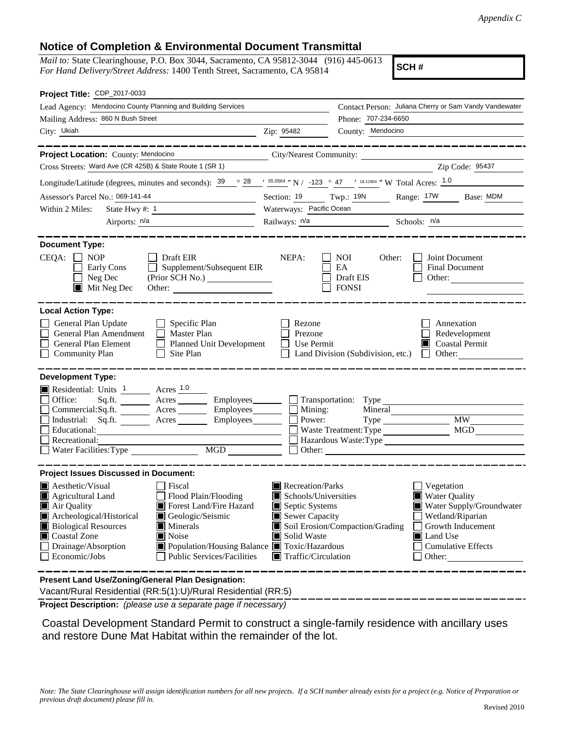## **Notice of Completion & Environmental Document Transmittal**

*Mail to:* State Clearinghouse, P.O. Box 3044, Sacramento, CA 95812-3044 (916) 445-0613 *For Hand Delivery/Street Address:* 1400 Tenth Street, Sacramento, CA 95814

**SCH #**

| Project Title: CDP_2017-0033                                                                                                                                                                                                                                                                                                                                                          |                                                                                                                                   |                                                                                       |                                                                                                                                                                     |  |
|---------------------------------------------------------------------------------------------------------------------------------------------------------------------------------------------------------------------------------------------------------------------------------------------------------------------------------------------------------------------------------------|-----------------------------------------------------------------------------------------------------------------------------------|---------------------------------------------------------------------------------------|---------------------------------------------------------------------------------------------------------------------------------------------------------------------|--|
| Lead Agency: Mendocino County Planning and Building Services                                                                                                                                                                                                                                                                                                                          |                                                                                                                                   |                                                                                       | Contact Person: Juliana Cherry or Sam Vandy Vandewater                                                                                                              |  |
| Mailing Address: 860 N Bush Street                                                                                                                                                                                                                                                                                                                                                    |                                                                                                                                   | Phone: 707-234-6650                                                                   |                                                                                                                                                                     |  |
| City: Ukiah<br><u> 1989 - Johann Barn, mars eta bat erroman erroman erroman erroman erroman erroman erroman erroman erroman err</u>                                                                                                                                                                                                                                                   | Zip: 95482                                                                                                                        | County: Mendocino                                                                     |                                                                                                                                                                     |  |
| ________________                                                                                                                                                                                                                                                                                                                                                                      |                                                                                                                                   |                                                                                       | ___________________                                                                                                                                                 |  |
| Project Location: County: Mendocino                                                                                                                                                                                                                                                                                                                                                   | City/Nearest Community:                                                                                                           |                                                                                       |                                                                                                                                                                     |  |
| Cross Streets: Ward Ave (CR 425B) & State Route 1 (SR 1)                                                                                                                                                                                                                                                                                                                              |                                                                                                                                   |                                                                                       | Zip Code: 95437                                                                                                                                                     |  |
| Longitude/Latitude (degrees, minutes and seconds): $\frac{39}{9}$ $\frac{88}{15}$ $\frac{1}{28}$ $\frac{1}{28}$ $\frac{1}{28}$ $\frac{1}{28}$ $\frac{1}{28}$ $\frac{1}{28}$ $\frac{1}{28}$ $\frac{1}{28}$ $\frac{1}{28}$ $\frac{1}{28}$ $\frac{1}{28}$ $\frac{1}{28}$ $\frac{1}{28}$ $\frac{$                                                                                         |                                                                                                                                   |                                                                                       |                                                                                                                                                                     |  |
| Assessor's Parcel No.: 069-141-44                                                                                                                                                                                                                                                                                                                                                     |                                                                                                                                   |                                                                                       | Section: 19 Twp.: 19N Range: 17W Base: MDM                                                                                                                          |  |
| Within 2 Miles:                                                                                                                                                                                                                                                                                                                                                                       |                                                                                                                                   | Waterways: Pacific Ocean                                                              |                                                                                                                                                                     |  |
| Airports: n/a                                                                                                                                                                                                                                                                                                                                                                         |                                                                                                                                   | Railways: <u>n/a Schools: n/a</u>                                                     |                                                                                                                                                                     |  |
| <b>Document Type:</b><br>$CEQA: \Box NP$<br>Draft EIR<br>Supplement/Subsequent EIR<br>Early Cons<br>$\mathcal{L}^{\mathcal{A}}$<br>Neg Dec<br>(Prior SCH No.) ________________<br>$\blacksquare$<br>$\blacksquare$ Mit Neg Dec<br>Other: $\qquad \qquad$                                                                                                                              | NEPA:                                                                                                                             | <b>NOI</b><br>Other:<br>EA<br>Draft EIS<br><b>FONSI</b>                               | Joint Document<br>Final Document<br>Other:                                                                                                                          |  |
| <b>Local Action Type:</b><br>General Plan Update<br>$\Box$ Specific Plan<br>General Plan Amendment<br>$\Box$ Master Plan<br>General Plan Element<br>Planned Unit Development<br><b>Community Plan</b><br>$\Box$ Site Plan                                                                                                                                                             | Rezone<br>Prezone<br>Use Permit                                                                                                   |                                                                                       | Annexation<br>Redevelopment<br>$\Box$ Coastal Permit<br>Land Division (Subdivision, etc.) $\Box$ Other:                                                             |  |
| <b>Development Type:</b>                                                                                                                                                                                                                                                                                                                                                              |                                                                                                                                   |                                                                                       |                                                                                                                                                                     |  |
| Residential: Units 1 Acres 1.0<br>Office:<br>$Sq.ft.$ Acres<br>Commercial:Sq.ft. _________ Acres __________ Employees________<br>Industrial: Sq.ft. _______ Acres ______<br>Employees_______<br>Recreational:<br>$\begin{tabular}{ c c } \hline \text{MGD} & \text{---} \\ \hline \end{tabular}$                                                                                      | Employees Transportation: Type<br>Mining:<br>Power:                                                                               | Mineral<br>Type<br>Waste Treatment: Type<br>Other: <u>International Communication</u> | <b>MW</b><br>MGD                                                                                                                                                    |  |
| <b>Project Issues Discussed in Document:</b>                                                                                                                                                                                                                                                                                                                                          |                                                                                                                                   |                                                                                       |                                                                                                                                                                     |  |
| $\blacksquare$ Aesthetic/Visual<br>  Fiscal<br>Agricultural Land<br>Flood Plain/Flooding<br>Air Quality<br>Forest Land/Fire Hazard<br>Archeological/Historical<br>Geologic/Seismic<br><b>Biological Resources</b><br>Minerals<br>Coastal Zone<br>Noise<br>Drainage/Absorption<br>■ Population/Housing Balance ■ Toxic/Hazardous<br>Economic/Jobs<br><b>Public Services/Facilities</b> | Recreation/Parks<br>Schools/Universities<br>Septic Systems<br>Sewer Capacity<br>Solid Waste<br>$\blacksquare$ Traffic/Circulation | Soil Erosion/Compaction/Grading                                                       | Vegetation<br><b>Water Quality</b><br>Water Supply/Groundwater<br>Wetland/Riparian<br>Growth Inducement<br><b>I</b> Land Use<br><b>Cumulative Effects</b><br>Other: |  |
| Present Land Use/Zoning/General Plan Designation:<br>Vacant/Rural Residential (RR:5(1):U)/Rural Residential (RR:5)                                                                                                                                                                                                                                                                    |                                                                                                                                   |                                                                                       |                                                                                                                                                                     |  |

**Project Description:** *(please use a separate page if necessary)*

 Coastal Development Standard Permit to construct a single-family residence with ancillary uses and restore Dune Mat Habitat within the remainder of the lot.